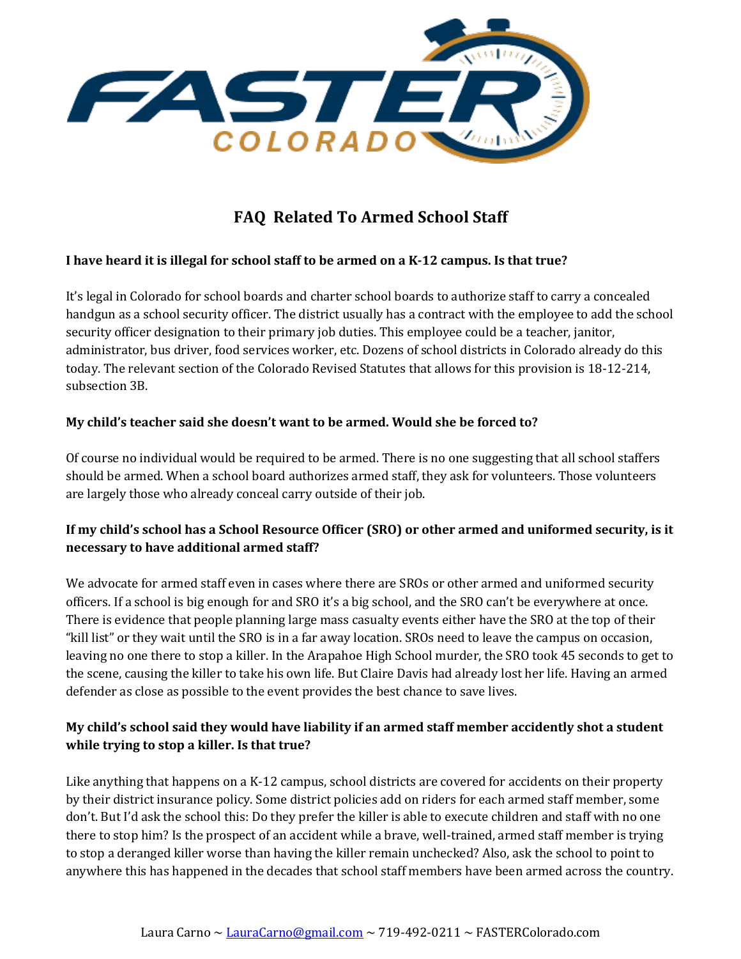

# **FAQ Related To Armed School Staff**

#### **I** have heard it is illegal for school staff to be armed on a K-12 campus. Is that true?

It's legal in Colorado for school boards and charter school boards to authorize staff to carry a concealed handgun as a school security officer. The district usually has a contract with the employee to add the school security officer designation to their primary job duties. This employee could be a teacher, janitor, administrator, bus driver, food services worker, etc. Dozens of school districts in Colorado already do this today. The relevant section of the Colorado Revised Statutes that allows for this provision is 18-12-214, subsection 3B.

#### My child's teacher said she doesn't want to be armed. Would she be forced to?

Of course no individual would be required to be armed. There is no one suggesting that all school staffers should be armed. When a school board authorizes armed staff, they ask for volunteers. Those volunteers are largely those who already conceal carry outside of their job.

# If my child's school has a School Resource Officer (SRO) or other armed and uniformed security, is it **necessary** to have additional armed staff?

We advocate for armed staff even in cases where there are SROs or other armed and uniformed security officers. If a school is big enough for and SRO it's a big school, and the SRO can't be everywhere at once. There is evidence that people planning large mass casualty events either have the SRO at the top of their "kill list" or they wait until the SRO is in a far away location. SROs need to leave the campus on occasion, leaving no one there to stop a killer. In the Arapahoe High School murder, the SRO took 45 seconds to get to the scene, causing the killer to take his own life. But Claire Davis had already lost her life. Having an armed defender as close as possible to the event provides the best chance to save lives.

### My child's school said they would have liability if an armed staff member accidently shot a student while trying to stop a killer. Is that true?

Like anything that happens on a K-12 campus, school districts are covered for accidents on their property by their district insurance policy. Some district policies add on riders for each armed staff member, some don't. But I'd ask the school this: Do they prefer the killer is able to execute children and staff with no one there to stop him? Is the prospect of an accident while a brave, well-trained, armed staff member is trying to stop a deranged killer worse than having the killer remain unchecked? Also, ask the school to point to anywhere this has happened in the decades that school staff members have been armed across the country.